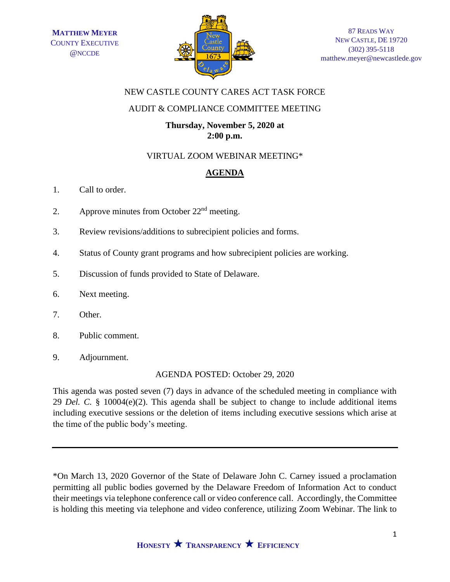

## NEW CASTLE COUNTY CARES ACT TASK FORCE

## AUDIT & COMPLIANCE COMMITTEE MEETING

## **Thursday, November 5, 2020 at 2:00 p.m.**

# VIRTUAL ZOOM WEBINAR MEETING\*

# **AGENDA**

- 1. Call to order.
- 2. Approve minutes from October  $22<sup>nd</sup>$  meeting.
- 3. Review revisions/additions to subrecipient policies and forms.
- 4. Status of County grant programs and how subrecipient policies are working.
- 5. Discussion of funds provided to State of Delaware.
- 6. Next meeting.
- 7. Other.
- 8. Public comment.
- 9. Adjournment.

# AGENDA POSTED: October 29, 2020

This agenda was posted seven (7) days in advance of the scheduled meeting in compliance with 29 *Del. C.* § 10004(e)(2). This agenda shall be subject to change to include additional items including executive sessions or the deletion of items including executive sessions which arise at the time of the public body's meeting.

\*On March 13, 2020 Governor of the State of Delaware John C. Carney issued a proclamation permitting all public bodies governed by the Delaware Freedom of Information Act to conduct their meetings via telephone conference call or video conference call. Accordingly, the Committee is holding this meeting via telephone and video conference, utilizing Zoom Webinar. The link to